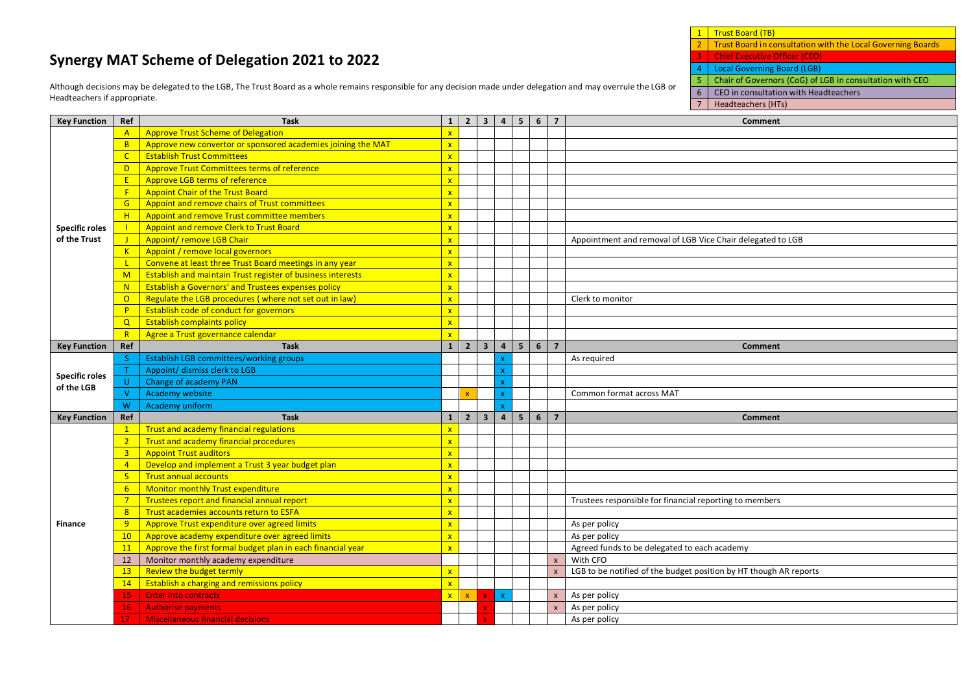## **Synergy MAT Scheme of Delegation 2021 to 2022**

Although decisions may be delegated to the LGB, The Trust Board as a whole remains responsible for any decision made under delegation and may overrule the LGB or Headteachers if appropriate.

1 Trust Board (TB) 2 Trust Board in consultation with the Local Governing Boards

3 Chief Executive Officer (CEO)

4 Local Governing Board (LGB)<br>5 Chair of Governors (CoG) of L 5 Chair of Governors (CoG) of LGB in consultation with CEO

6 CEO in consultation with Headteachers

7 Headteachers (HTs)

| <b>Key Function</b>   | Ref             | <b>Task</b>                                                        |                         | $1 \mid 2 \mid 3 \mid 4 \mid 5 \mid$ |                         |                |                | 6 7            |                | Comment                                                           |
|-----------------------|-----------------|--------------------------------------------------------------------|-------------------------|--------------------------------------|-------------------------|----------------|----------------|----------------|----------------|-------------------------------------------------------------------|
|                       | $\mathsf{A}$    | <b>Approve Trust Scheme of Delegation</b>                          | $\mathbf{x}$            |                                      |                         |                |                |                |                |                                                                   |
|                       | B               | Approve new convertor or sponsored academies joining the MAT       | $\mathbf{x}$            |                                      |                         |                |                |                |                |                                                                   |
|                       | $\mathsf{C}$    | <b>Establish Trust Committees</b>                                  | $\mathbf{x}$            |                                      |                         |                |                |                |                |                                                                   |
|                       | D.              | Approve Trust Committees terms of reference                        | $\mathbf{x}$            |                                      |                         |                |                |                |                |                                                                   |
|                       | E               | Approve LGB terms of reference                                     | $\mathbf{x}$            |                                      |                         |                |                |                |                |                                                                   |
|                       | F               | <b>Appoint Chair of the Trust Board</b>                            | $\mathbf{x}$            |                                      |                         |                |                |                |                |                                                                   |
|                       | G               | Appoint and remove chairs of Trust committees                      | $\mathbf{x}$            |                                      |                         |                |                |                |                |                                                                   |
|                       | H               | Appoint and remove Trust committee members                         | $\mathbf{x}$            |                                      |                         |                |                |                |                |                                                                   |
| <b>Specific roles</b> |                 | Appoint and remove Clerk to Trust Board                            | $\mathbf{x}$            |                                      |                         |                |                |                |                |                                                                   |
| of the Trust          | $\mathbf{J}$    | Appoint/ remove LGB Chair                                          | $\mathbf{x}$            |                                      |                         |                |                |                |                | Appointment and removal of LGB Vice Chair delegated to LGB        |
|                       | K               | Appoint / remove local governors                                   | $\mathbf{x}$            |                                      |                         |                |                |                |                |                                                                   |
|                       | $\mathbf{L}$    | Convene at least three Trust Board meetings in any year            | $\mathbf{x}$            |                                      |                         |                |                |                |                |                                                                   |
|                       | M               | <b>Establish and maintain Trust register of business interests</b> | $\mathbf{x}$            |                                      |                         |                |                |                |                |                                                                   |
|                       | N               | <b>Establish a Governors' and Trustees expenses policy</b>         | $\mathbf{x}$            |                                      |                         |                |                |                |                |                                                                   |
|                       | $\overline{O}$  | Regulate the LGB procedures (where not set out in law)             | $\mathbf{x}$            |                                      |                         |                |                |                |                | Clerk to monitor                                                  |
|                       | P               | Establish code of conduct for governors                            | $\mathbf{x}$            |                                      |                         |                |                |                |                |                                                                   |
|                       | Q               | <b>Establish complaints policy</b>                                 | $\mathbf{x}$            |                                      |                         |                |                |                |                |                                                                   |
|                       | R               | Agree a Trust governance calendar                                  | $\overline{\mathbf{x}}$ |                                      |                         |                |                |                |                |                                                                   |
| <b>Key Function</b>   | Ref             | <b>Task</b>                                                        | 1                       | $\overline{2}$                       | $\overline{\mathbf{3}}$ | $\overline{4}$ | 5 <sub>1</sub> | 6 <sup>1</sup> | $\overline{7}$ | Comment                                                           |
| <b>Specific roles</b> | S               | <b>Establish LGB committees/working groups</b>                     |                         |                                      |                         |                |                |                |                | As required                                                       |
|                       | $\mathsf T$     | Appoint/ dismiss clerk to LGB                                      |                         |                                      |                         |                |                |                |                |                                                                   |
| of the LGB            | $\mathsf{U}$    | Change of academy PAN                                              |                         |                                      |                         |                |                |                |                |                                                                   |
|                       | $\mathsf{V}$    | Academy website                                                    |                         |                                      |                         |                |                |                |                | Common format across MAT                                          |
|                       | W.              | Academy uniform                                                    |                         |                                      |                         |                |                |                |                |                                                                   |
| <b>Key Function</b>   | Ref             | <b>Task</b>                                                        | $\mathbf{1}$            | $\overline{2}$                       | 3 <sup>1</sup>          | $\overline{4}$ | 5 <sup>1</sup> | 6 <sup>1</sup> | $\overline{7}$ | Comment                                                           |
|                       | $\mathbf{1}$    | <b>Trust and academy financial regulations</b>                     | $\mathbf{x}$            |                                      |                         |                |                |                |                |                                                                   |
|                       | 2 <sup>1</sup>  | <b>Trust and academy financial procedures</b>                      | $\mathbf{x}$            |                                      |                         |                |                |                |                |                                                                   |
|                       | 3 <sup>1</sup>  | <b>Appoint Trust auditors</b>                                      | $\mathbf{x}$            |                                      |                         |                |                |                |                |                                                                   |
|                       | $\overline{4}$  | Develop and implement a Trust 3 year budget plan                   | $\mathbf{x}$            |                                      |                         |                |                |                |                |                                                                   |
|                       | 5 <sup>1</sup>  | <b>Trust annual accounts</b>                                       | $\mathbf{x}$            |                                      |                         |                |                |                |                |                                                                   |
|                       | 6 <sup>1</sup>  | Monitor monthly Trust expenditure                                  | $\mathbf{x}$            |                                      |                         |                |                |                |                |                                                                   |
|                       | 7 <sup>7</sup>  | Trustees report and financial annual report                        | $\mathbf{x}$            |                                      |                         |                |                |                |                | Trustees responsible for financial reporting to members           |
|                       | 8               | Trust academies accounts return to ESFA                            | $\mathbf{x}$            |                                      |                         |                |                |                |                |                                                                   |
| <b>Finance</b>        | 9               | Approve Trust expenditure over agreed limits                       | $\mathbf{x}$            |                                      |                         |                |                |                |                | As per policy                                                     |
|                       | $10-10$         | Approve academy expenditure over agreed limits                     | $\mathbf{x}$            |                                      |                         |                |                |                |                | As per policy                                                     |
|                       | 11              | Approve the first formal budget plan in each financial year        | $\mathbf{x}$            |                                      |                         |                |                |                |                | Agreed funds to be delegated to each academy                      |
|                       | 12              | Monitor monthly academy expenditure                                |                         |                                      |                         |                |                |                | $\mathbf{x}$   | With CFO                                                          |
|                       | 13 <sup>°</sup> | Review the budget termly                                           | $\mathbf{x}$            |                                      |                         |                |                |                |                | LGB to be notified of the budget position by HT though AR reports |
|                       | 14              | <b>Establish a charging and remissions policy</b>                  | $\mathbf{x}$            |                                      |                         |                |                |                |                |                                                                   |
|                       | 15 <sub>1</sub> | <b>Enter into contracts</b>                                        | $\mathbf{x}$            | $\mathbf{x}$                         |                         |                |                |                | $\mathbf{x}$   | As per policy                                                     |
|                       | 16 <sup>1</sup> | <b>Authorise payments</b>                                          |                         |                                      |                         |                |                |                | $\mathbf{x}$   | As per policy                                                     |
|                       |                 | <b>Miscellaneous financial decisions</b>                           |                         |                                      |                         |                |                |                |                | As per policy                                                     |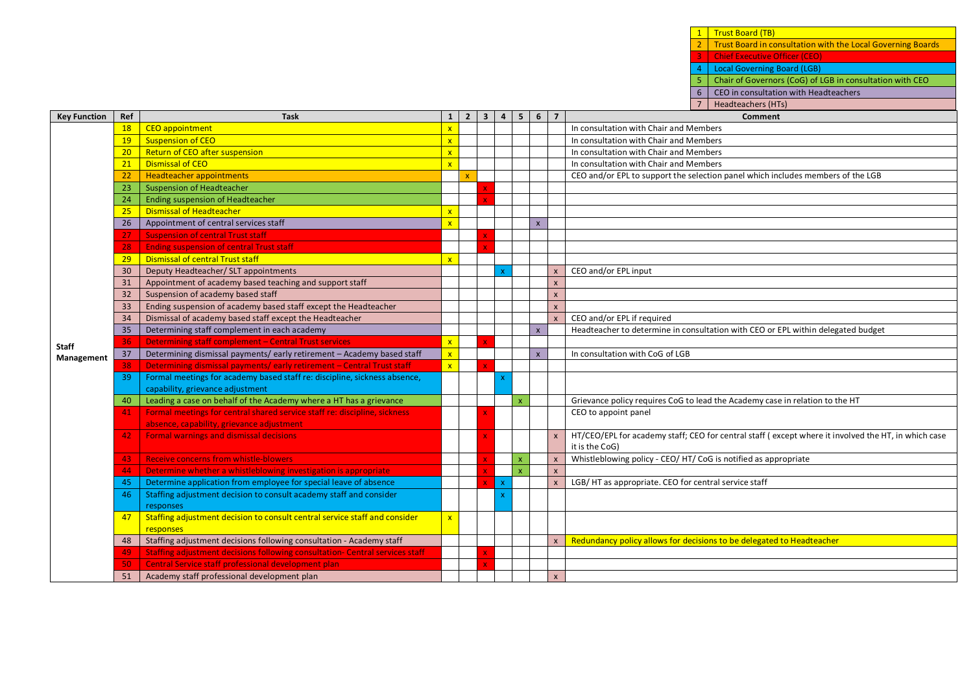**Chief Executive Officer (CEO) Local Governing Board (LGB)** 5 Chair of Governors (CoG) of LGB in consultation with CEO 6 CEO in consultation with Headteachers 7 Headteachers (HTs) **Key Function Ref Task 1 2 3 4 5 6 7 Comment Staff Management** 18 CEO appointment **18 CEO** appointment **x** In consultation with Chair and Members 19 Suspension of CEO x In consultation with Chair and Members **in the United States of Line Chair and Members** 20 Return of CEO after suspension x In consultation with Chair and Members 21 Dismissal of CEO **22 Dismissal of CEO** 22 Headteacher appointments of CEO and/or EPL to support the selection 22 Headteacher appointments x CEO and/or EPL to support the selection panel which includes members of the LGB 23 Suspension of Headteacher 24 Ending suspension of Headteacher 25 Dismissal of Headteacher x 26 Appointment of central services staff x  $\mathbf{x}$  x  $\mathbf{x}$ 27 Suspension of central Trust staff **Ending suspension of central Trust staff** 29 Dismissal of central Trust staff x 30 Deputy Headteacher/ SLT appointments x x CEO and/or EPL input 31 Appointment of academy based teaching and support staff **x** 32 Suspension of academy based staff x 33 Ending suspension of academy based staff except the Headteacher x 34 Dismissal of academy based staff except the Headteacher x CEO and/or EPL if required 35 Determining staff complement in each academy **x Headteacher to determine in consultation with CEO or EPL within delegated budget**  $\overline{36}$  Determining staff complement – Central Trust services  $\overline{x}$  x  $\overline{x}$ 37 Determining dismissal payments/ early retirement – Academy based staff  $\left|\frac{\mathbf{x}}{\mathbf{x}}\right| = \left|\frac{\mathbf{x}}{\mathbf{x}}\right|$  In consultation with CoG of LGB Determining dismissal payments/ early retirement – Central Trust staff 39 Formal meetings for academy based staff re: discipline, sickness absence, capability, grievance adjustment x 40 Leading a case on behalf of the Academy where a HT has a grievance  $\vert$  | | | | | | | | Grievance policy requires CoG to lead the Academy case in relation to the HT 41 | Formal meetings for central shared service staff re: discipline, sickness absence, capability, grievance adjustment CEO to appoint panel 42 Formal warnings and dismissal decisions x x HT/CEO/EPL for academy staff; CEO for central staff ( except where it involved the HT, in which case it is the CoG) 43 Receive concerns from whistle-blowers x x x x x x x X Whistleblowing policy - CEO/ HT/ CoG is notified as appropriate 44 Determine whether a whistleblowing investigation is appropriate x x x 45 Determine application from employee for special leave of absence x x x x cases x LGB/ HT as appropriate. CEO for central service staff 46 Staffing adjustment decision to consult academy staff and consider responses x 47 Staffing adjustment decision to consult central service staff and consider responses x 48 Staffing adjustment decisions following consultation - Academy staff  $\|\|\|\|$  x Redundancy policy allows for decisions to be delegated to Headteacher 49 Staffing adjustment decisions following consultation- Central services staff 50 Central Service staff professional development plan 51 Academy staff professional development plan

1 Trust Board (TB)

2 Trust Board in consultation with the Local Governing Boards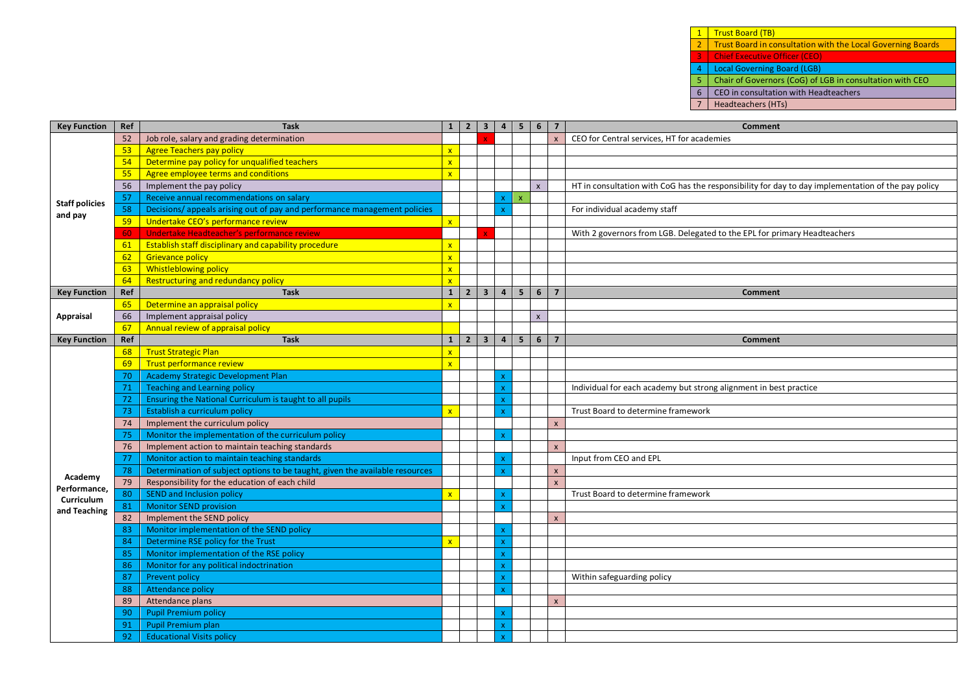1 Trust Board (TB)

**2 Trust Board in consultation with the Local Governing Boards** 

Chief Executive Officer (CEO)

4 Local Governing Board (LGB)<br>5 Chair of Governors (CoG) of L 5 Chair of Governors (CoG) of LGB in consultation with CEO<br>6 CEO in consultation with Headteachers

CEO in consultation with Headteachers

Headteachers (HTs)

| <b>Key Function</b>   | Ref | <b>Task</b>                                                                  |                         |                |                         |                |                | $1 \mid 2 \mid 3 \mid 4 \mid 5 \mid 6 \mid$ | $\overline{7}$          | Comment                                                                                            |
|-----------------------|-----|------------------------------------------------------------------------------|-------------------------|----------------|-------------------------|----------------|----------------|---------------------------------------------|-------------------------|----------------------------------------------------------------------------------------------------|
|                       | 52  | Job role, salary and grading determination                                   |                         |                |                         |                |                |                                             |                         | CEO for Central services, HT for academies                                                         |
|                       | 53  | <b>Agree Teachers pay policy</b>                                             | $\mathbf{x}$            |                |                         |                |                |                                             |                         |                                                                                                    |
|                       | 54  | Determine pay policy for unqualified teachers                                | $\mathbf{x}$            |                |                         |                |                |                                             |                         |                                                                                                    |
|                       | 55  | Agree employee terms and conditions                                          | $\mathbf{x}$            |                |                         |                |                |                                             |                         |                                                                                                    |
|                       | 56  | Implement the pay policy                                                     |                         |                |                         |                |                | $\mathsf{x}$                                |                         | HT in consultation with CoG has the responsibility for day to day implementation of the pay policy |
| <b>Staff policies</b> | 57  | Receive annual recommendations on salary                                     |                         |                |                         | $\mathbf{x}$   | $\mathsf X$    |                                             |                         |                                                                                                    |
| and pay               | 58  | Decisions/ appeals arising out of pay and performance management policies    |                         |                |                         | ¥              |                |                                             |                         | For individual academy staff                                                                       |
|                       | 59  | Undertake CEO's performance review                                           | $\mathbf{x}$            |                |                         |                |                |                                             |                         |                                                                                                    |
|                       | 60  | Undertake Headteacher's performance review                                   |                         |                |                         |                |                |                                             |                         | With 2 governors from LGB. Delegated to the EPL for primary Headteachers                           |
|                       | 61  | <b>Establish staff disciplinary and capability procedure</b>                 | $\mathbf{x}$            |                |                         |                |                |                                             |                         |                                                                                                    |
|                       | 62  | <b>Grievance policy</b>                                                      | $\mathbf{x}$            |                |                         |                |                |                                             |                         |                                                                                                    |
|                       | 63  | <b>Whistleblowing policy</b>                                                 | $\mathbf{x}$            |                |                         |                |                |                                             |                         |                                                                                                    |
|                       | 64  | Restructuring and redundancy policy                                          |                         |                |                         |                |                |                                             |                         |                                                                                                    |
| <b>Key Function</b>   | Ref | <b>Task</b>                                                                  | $\mathbf{1}$            | $\overline{2}$ | $\overline{\mathbf{3}}$ | $\overline{4}$ | 5 <sup>1</sup> | 6                                           | $\overline{7}$          | Comment                                                                                            |
|                       | 65  | Determine an appraisal policy                                                | $\mathbf{x}$            |                |                         |                |                |                                             |                         |                                                                                                    |
| <b>Appraisal</b>      | 66  | Implement appraisal policy                                                   |                         |                |                         |                |                | $\mathsf{x}$                                |                         |                                                                                                    |
|                       | 67  | Annual review of appraisal policy                                            |                         |                |                         |                |                |                                             |                         |                                                                                                    |
| <b>Key Function</b>   | Ref | <b>Task</b>                                                                  | $\mathbf{1}$            | $\overline{2}$ | $\overline{\mathbf{3}}$ | $\overline{a}$ | 5 <sup>5</sup> | 6                                           | $\overline{\mathbf{z}}$ | <b>Comment</b>                                                                                     |
|                       | 68  | <b>Trust Strategic Plan</b>                                                  | $\mathbf{x}$            |                |                         |                |                |                                             |                         |                                                                                                    |
|                       | 69  | Trust performance review                                                     | $\mathbf{x}$            |                |                         |                |                |                                             |                         |                                                                                                    |
|                       | 70  | Academy Strategic Development Plan                                           |                         |                |                         |                |                |                                             |                         |                                                                                                    |
|                       | 71  | <b>Teaching and Learning policy</b>                                          |                         |                |                         |                |                |                                             |                         | Individual for each academy but strong alignment in best practice                                  |
|                       | 72  | Ensuring the National Curriculum is taught to all pupils                     |                         |                |                         |                |                |                                             |                         |                                                                                                    |
|                       | 73  | Establish a curriculum policy                                                | $\overline{\mathbf{x}}$ |                |                         |                |                |                                             |                         | Trust Board to determine framework                                                                 |
|                       | 74  | Implement the curriculum policy                                              |                         |                |                         |                |                |                                             |                         |                                                                                                    |
|                       | 75  | Monitor the implementation of the curriculum policy                          |                         |                |                         |                |                |                                             |                         |                                                                                                    |
|                       | 76  | Implement action to maintain teaching standards                              |                         |                |                         |                |                |                                             | $\mathsf{x}$            |                                                                                                    |
|                       | 77  | Monitor action to maintain teaching standards                                |                         |                |                         |                |                |                                             |                         | Input from CEO and EPL                                                                             |
| Academy               | 78  | Determination of subject options to be taught, given the available resources |                         |                |                         |                |                |                                             |                         |                                                                                                    |
| Performance,          | 79  | Responsibility for the education of each child                               |                         |                |                         |                |                |                                             |                         |                                                                                                    |
| Curriculum            | 80  | <b>SEND and Inclusion policy</b>                                             |                         |                |                         |                |                |                                             |                         | Trust Board to determine framework                                                                 |
| and Teaching          | 81  | <b>Monitor SEND provision</b>                                                |                         |                |                         |                |                |                                             |                         |                                                                                                    |
|                       | 82  | Implement the SEND policy                                                    |                         |                |                         |                |                |                                             | $\mathbf{x}$            |                                                                                                    |
|                       | 83  | Monitor implementation of the SEND policy                                    |                         |                |                         |                |                |                                             |                         |                                                                                                    |
|                       | 84  | Determine RSE policy for the Trust                                           | $\overline{\mathbf{x}}$ |                |                         |                |                |                                             |                         |                                                                                                    |
|                       | 85  | Monitor implementation of the RSE policy                                     |                         |                |                         |                |                |                                             |                         |                                                                                                    |
|                       | 86  | Monitor for any political indoctrination                                     |                         |                |                         |                |                |                                             |                         |                                                                                                    |
|                       | 87  | Prevent policy                                                               |                         |                |                         |                |                |                                             |                         | Within safeguarding policy                                                                         |
|                       | 88  | <b>Attendance policy</b>                                                     |                         |                |                         |                |                |                                             |                         |                                                                                                    |
|                       | 89  | Attendance plans                                                             |                         |                |                         |                |                |                                             | $\mathbf{x}$            |                                                                                                    |
|                       | 90  | <b>Pupil Premium policy</b>                                                  |                         |                |                         |                |                |                                             |                         |                                                                                                    |
|                       | 91  | <b>Pupil Premium plan</b>                                                    |                         |                |                         |                |                |                                             |                         |                                                                                                    |
|                       | 92  | <b>Educational Visits policy</b>                                             |                         |                |                         |                |                |                                             |                         |                                                                                                    |

<u> a shekara ta 1989 na shekara ta 1989 na shekara ta 1989 na shekara ta 1989 na shekara ta 1989 na shekara ta 1989 na shekara ta 1989 na shekara ta 1989 na shekara ta 1989 na shekara ta 1989 na shekara ta 1989 na shekara t</u>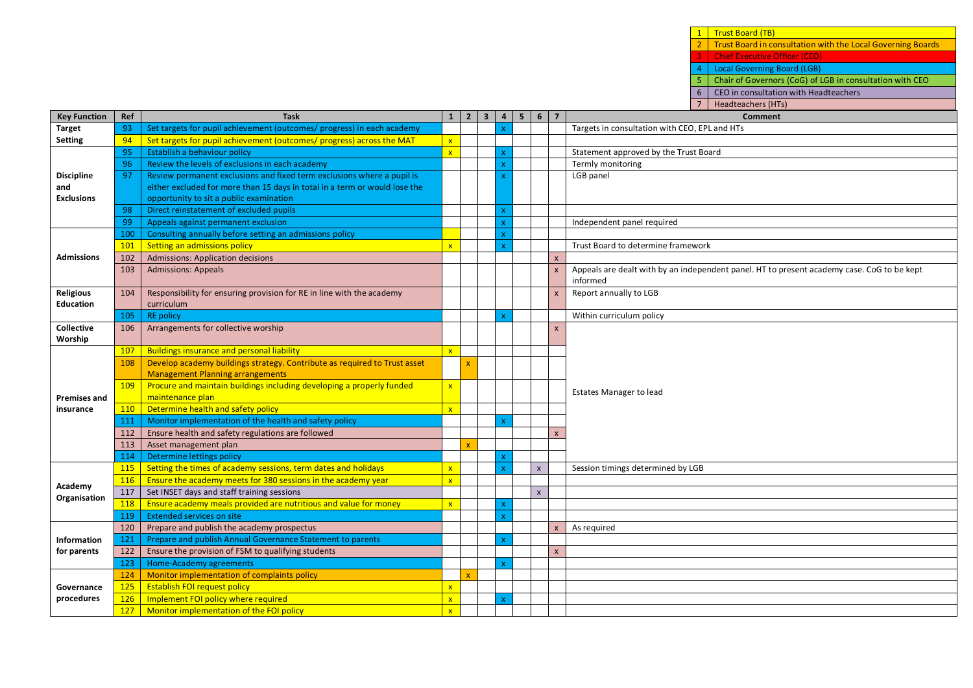1 Trust Board (TB) **2 Trust Board in consultation with the Local Governing Boards** 

3 Chief Executive Officer (CEO)

4 Local Governing Board (LGB)

5 Chair of Governors (CoG) of LGB in consultation with CEO

6 CEO in consultation with Headteachers

7 Headteachers (HTs)

| <b>Key Function</b> | Ref | <b>Task</b>                                                                |                | $1 \mid 2 \mid 3 \mid 4 \mid 5 \mid 6$ |              |                         | $\overline{7}$     | Comment                                                                                    |
|---------------------|-----|----------------------------------------------------------------------------|----------------|----------------------------------------|--------------|-------------------------|--------------------|--------------------------------------------------------------------------------------------|
| <b>Target</b>       | 93  | Set targets for pupil achievement (outcomes/ progress) in each academy     |                |                                        | $\mathbf{x}$ |                         |                    | Targets in consultation with CEO, EPL and HTs                                              |
| <b>Setting</b>      | 94  | Set targets for pupil achievement (outcomes/ progress) across the MAT      | $\mathbf{x}$   |                                        |              |                         |                    |                                                                                            |
|                     | 95  | Establish a behaviour policy                                               | $\mathbf{x}$   |                                        |              |                         |                    | Statement approved by the Trust Board                                                      |
|                     | 96  | Review the levels of exclusions in each academy                            |                |                                        |              |                         |                    | Termly monitoring                                                                          |
| <b>Discipline</b>   | 97  | Review permanent exclusions and fixed term exclusions where a pupil is     |                |                                        |              |                         |                    | LGB panel                                                                                  |
| and                 |     | either excluded for more than 15 days in total in a term or would lose the |                |                                        |              |                         |                    |                                                                                            |
| <b>Exclusions</b>   |     | opportunity to sit a public examination                                    |                |                                        |              |                         |                    |                                                                                            |
|                     | 98  | Direct reinstatement of excluded pupils                                    |                |                                        | X.           |                         |                    |                                                                                            |
|                     | 99  | Appeals against permanent exclusion                                        |                |                                        |              |                         |                    | Independent panel required                                                                 |
|                     | 100 | Consulting annually before setting an admissions policy                    |                |                                        |              |                         |                    |                                                                                            |
|                     | 101 | Setting an admissions policy                                               |                |                                        |              |                         |                    | Trust Board to determine framework                                                         |
| <b>Admissions</b>   | 102 | <b>Admissions: Application decisions</b>                                   |                |                                        |              |                         | $\mathsf{x}$       |                                                                                            |
|                     | 103 | <b>Admissions: Appeals</b>                                                 |                |                                        |              |                         |                    | Appeals are dealt with by an independent panel. HT to present academy case. CoG to be kept |
| <b>Religious</b>    |     | Responsibility for ensuring provision for RE in line with the academy      |                |                                        |              |                         |                    | informed<br>Report annually to LGB                                                         |
| <b>Education</b>    | 104 | curriculum                                                                 |                |                                        |              |                         | $\pmb{\mathsf{x}}$ |                                                                                            |
|                     | 105 | <b>RE policy</b>                                                           |                |                                        | x            |                         |                    | Within curriculum policy                                                                   |
| <b>Collective</b>   | 106 | Arrangements for collective worship                                        |                |                                        |              |                         | $\mathbf{x}$       |                                                                                            |
| Worship             |     |                                                                            |                |                                        |              |                         |                    |                                                                                            |
|                     | 107 | <b>Buildings insurance and personal liability</b>                          | $\mathsf{x}$   |                                        |              |                         |                    |                                                                                            |
|                     | 108 | Develop academy buildings strategy. Contribute as required to Trust asset  |                | x                                      |              |                         |                    |                                                                                            |
|                     |     | <b>Management Planning arrangements</b>                                    |                |                                        |              |                         |                    |                                                                                            |
|                     | 109 | Procure and maintain buildings including developing a properly funded      | $\mathbf{x}$   |                                        |              |                         |                    |                                                                                            |
| <b>Premises and</b> |     | maintenance plan                                                           |                |                                        |              |                         |                    | <b>Estates Manager to lead</b>                                                             |
| insurance           | 110 | Determine health and safety policy                                         | $\mathbf{x}$   |                                        |              |                         |                    |                                                                                            |
|                     | 111 | Monitor implementation of the health and safety policy                     |                |                                        | x            |                         |                    |                                                                                            |
|                     | 112 | Ensure health and safety regulations are followed                          |                |                                        |              |                         | $\mathsf{x}$       |                                                                                            |
|                     | 113 | Asset management plan                                                      |                |                                        |              |                         |                    |                                                                                            |
|                     | 114 | Determine lettings policy                                                  |                |                                        | x            |                         |                    |                                                                                            |
|                     | 115 | Setting the times of academy sessions, term dates and holidays             | $\overline{X}$ |                                        |              | $\mathsf{x}$            |                    | Session timings determined by LGB                                                          |
| Academy             | 116 | Ensure the academy meets for 380 sessions in the academy year              | $\mathbf{x}$   |                                        |              |                         |                    |                                                                                            |
| Organisation        | 117 | Set INSET days and staff training sessions                                 |                |                                        |              | $\overline{\mathsf{x}}$ |                    |                                                                                            |
|                     | 118 | Ensure academy meals provided are nutritious and value for money           | $\mathbf{x}$   |                                        |              |                         |                    |                                                                                            |
|                     | 119 | <b>Extended services on site</b>                                           |                |                                        | x            |                         |                    |                                                                                            |
|                     | 120 | Prepare and publish the academy prospectus                                 |                |                                        |              |                         | $\mathsf{x}$       | As required                                                                                |
| Information         | 121 | Prepare and publish Annual Governance Statement to parents                 |                |                                        |              |                         |                    |                                                                                            |
| for parents         | 122 | Ensure the provision of FSM to qualifying students                         |                |                                        |              |                         | $\mathsf{x}$       |                                                                                            |
|                     | 123 | <b>Home-Academy agreements</b>                                             |                |                                        | x            |                         |                    |                                                                                            |
|                     | 124 | Monitor implementation of complaints policy                                |                | $\mathbf{x}$                           |              |                         |                    |                                                                                            |
| Governance          | 125 | <b>Establish FOI request policy</b>                                        | $\mathbf{x}$   |                                        |              |                         |                    |                                                                                            |
| procedures          | 126 | Implement FOI policy where required                                        | $\mathsf{x}$   |                                        | <b>x</b>     |                         |                    |                                                                                            |
|                     | 127 | Monitor implementation of the FOI policy                                   | $\mathbf{x}$   |                                        |              |                         |                    |                                                                                            |